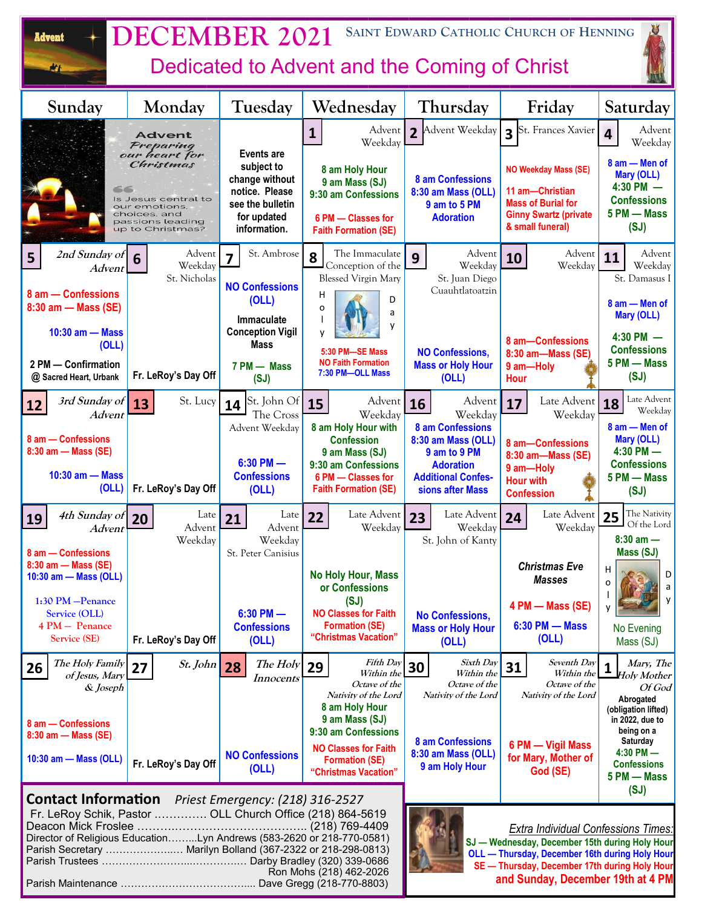| J<br>SAINT EDWARD CATHOLIC CHURCH OF HENNING<br><b>DECEMBER 2021</b><br><b>Advent</b><br>Dedicated to Advent and the Coming of Christ<br>M                                                                                                                        |                                        |                                                                                                   |                                                                                                                                                                                                                                      |                                                                            |                                                                                                                                 |                                                                                           |  |
|-------------------------------------------------------------------------------------------------------------------------------------------------------------------------------------------------------------------------------------------------------------------|----------------------------------------|---------------------------------------------------------------------------------------------------|--------------------------------------------------------------------------------------------------------------------------------------------------------------------------------------------------------------------------------------|----------------------------------------------------------------------------|---------------------------------------------------------------------------------------------------------------------------------|-------------------------------------------------------------------------------------------|--|
| Sunday                                                                                                                                                                                                                                                            | Monday                                 | Tuesday                                                                                           | Wednesday                                                                                                                                                                                                                            | Thursday                                                                   | Friday                                                                                                                          | Saturday                                                                                  |  |
|                                                                                                                                                                                                                                                                   | <b>Advent</b><br>Preparing             | <b>Events are</b>                                                                                 | Advent<br>$\mathbf{1}$<br>Weekday                                                                                                                                                                                                    | Advent Weekday<br>$\overline{2}$                                           | St. Frances Xavier<br>$\overline{\mathbf{3}}$                                                                                   | Advent<br>Weekday                                                                         |  |
| our heart for<br>Christmas<br>56<br>Is Jesus central to<br>our emotions,<br>choices, and<br>passions leading<br>up to Christmas?                                                                                                                                  |                                        | subject to<br>change without<br>notice. Please<br>see the bulletin<br>for updated<br>information. | 8 am Holy Hour<br>9 am Mass (SJ)<br>9:30 am Confessions<br>6 PM - Classes for<br><b>Faith Formation (SE)</b>                                                                                                                         | 8 am Confessions<br>8:30 am Mass (OLL)<br>9 am to 5 PM<br><b>Adoration</b> | <b>NO Weekday Mass (SE)</b><br>11 am-Christian<br><b>Mass of Burial for</b><br><b>Ginny Swartz (private</b><br>& small funeral) | 8 am - Men of<br>Mary (OLL)<br>$4:30$ PM $-$<br><b>Confessions</b><br>5 PM - Mass<br>(SJ) |  |
| 2nd Sunday of<br>5<br>Advent                                                                                                                                                                                                                                      | Advent<br>6<br>Weekday<br>St. Nicholas | St. Ambrose                                                                                       | The Immaculate<br>8<br>Conception of the<br><b>Blessed Virgin Mary</b>                                                                                                                                                               | Advent<br>9<br>Weekday<br>St. Juan Diego                                   | Advent<br>10<br>Weekday                                                                                                         | Advent<br>11<br>Weekday<br>St. Damasus I                                                  |  |
| 8 am - Confessions<br>8:30 am - Mass (SE)                                                                                                                                                                                                                         |                                        | <b>NO Confessions</b><br>(OLL)<br>Immaculate                                                      | н<br>D<br>o<br>a<br>y                                                                                                                                                                                                                | Cuauhtlatoatzin                                                            |                                                                                                                                 | 8 am - Men of<br><b>Mary (OLL)</b>                                                        |  |
| $10:30$ am $-$ Mass<br>(OLL)<br>2 PM - Confirmation<br>@ Sacred Heart, Urbank                                                                                                                                                                                     | Fr. LeRoy's Day Off                    | <b>Conception Vigil</b><br><b>Mass</b><br>7 PM - Mass<br>(SJ)                                     | 5:30 PM-SE Mass<br><b>NO Faith Formation</b><br>7:30 PM-OLL Mass                                                                                                                                                                     | <b>NO Confessions,</b><br><b>Mass or Holy Hour</b><br>(OLL)                | 8 am-Confessions<br>8:30 am-Mass (SE)<br>9 am-Holy<br><b>Hour</b>                                                               | $4:30$ PM $-$<br><b>Confessions</b><br>5 PM - Mass<br>(SJ)                                |  |
| 3rd Sunday of<br>12<br>Advent                                                                                                                                                                                                                                     | St. Lucy<br>13                         | St. John Of<br>14<br>The Cross                                                                    | Advent<br>15<br>Weekday                                                                                                                                                                                                              | Advent<br>16<br>Weekday                                                    | Late Advent<br>17<br>Weekday                                                                                                    | Late Advent<br>18<br>Weekday                                                              |  |
| 8 am - Confessions<br>8:30 am - Mass (SE)                                                                                                                                                                                                                         |                                        | Advent Weekday<br>$6:30$ PM $-$                                                                   | 8 am Holy Hour with<br><b>Confession</b><br>9 am Mass (SJ)                                                                                                                                                                           | 8 am Confessions<br>8:30 am Mass (OLL)<br>9 am to 9 PM                     | 8 am-Confessions<br>8:30 am-Mass (SE)                                                                                           | 8 am - Men of<br><b>Mary (OLL)</b><br>$4:30$ PM $-$                                       |  |
| $10:30$ am $-$ Mass<br>(OLL)                                                                                                                                                                                                                                      | Fr. LeRoy's Day Off                    | <b>Confessions</b><br>(OLL)                                                                       | 9:30 am Confessions<br>6 PM - Classes for<br><b>Faith Formation (SE)</b>                                                                                                                                                             | <b>Adoration</b><br><b>Additional Confes-</b><br>sions after Mass          | 9 am-Holy<br><b>Hour with</b><br><b>Confession</b>                                                                              | <b>Confessions</b><br>5 PM - Mass<br>(SJ)                                                 |  |
| 4th Sunday of 20<br>19<br>Advent                                                                                                                                                                                                                                  | Late<br>Advent<br>Weekday              | Late<br>21<br>Advent<br>Weekday                                                                   | Late Advent 23<br>22<br>Weekday                                                                                                                                                                                                      | Late Advent<br>Weekday<br>St. John of Kanty                                | Late Advent   25<br>24<br>Weekday                                                                                               | The Nativity<br>$\Box$ Of the Lord<br>$8:30$ am $-$                                       |  |
| 8 am - Confessions<br>8:30 am - Mass (SE)<br>10:30 am - Mass (OLL)                                                                                                                                                                                                |                                        | St. Peter Canisius                                                                                | No Holy Hour, Mass<br>or Confessions                                                                                                                                                                                                 |                                                                            | <b>Christmas Eve</b><br><b>Masses</b>                                                                                           | Mass (SJ)<br>н<br>D<br>Ω<br>$\mathsf{a}$                                                  |  |
| 1:30 PM - Penance<br>Service (OLL)<br>4 PM - Penance<br>Service (SE)                                                                                                                                                                                              | Fr. LeRoy's Day Off                    | $6:30$ PM $-$<br><b>Confessions</b><br>(OLL)                                                      | (SJ)<br><b>NO Classes for Faith</b><br><b>Formation (SE)</b><br>"Christmas Vacation"                                                                                                                                                 | <b>No Confessions.</b><br><b>Mass or Holy Hour</b><br>(OLL)                | 4 PM - Mass (SE)<br>$6:30$ PM $-$ Mass<br>(OLL)                                                                                 | y<br>No Evening<br>Mass (SJ)                                                              |  |
| The Holy Family<br>26<br>of Jesus, Mary                                                                                                                                                                                                                           | $St.$ John<br>27                       | The Holy<br>28<br>Innocents                                                                       | <b>Fifth Day</b><br>29<br>Within the<br>Octave of the                                                                                                                                                                                | Sixth Day<br>30<br>Within the<br>Octave of the                             | Seventh Day<br>31<br>Within the<br>Octave of the                                                                                | Mary, The<br>1<br><b>Holy Mother</b>                                                      |  |
| & Joseph<br>8 am - Confessions<br>8:30 am - Mass (SE)                                                                                                                                                                                                             |                                        |                                                                                                   | Nativity of the Lord<br>8 am Holy Hour<br>9 am Mass (SJ)<br>9:30 am Confessions                                                                                                                                                      | Nativity of the Lord<br>8 am Confessions                                   | Nativity of the Lord                                                                                                            | Of God<br>Abrogated<br>(obligation lifted)<br>in 2022, due to<br>being on a<br>Saturday   |  |
| 10:30 am - Mass (OLL)                                                                                                                                                                                                                                             | Fr. LeRoy's Day Off                    | <b>NO Confessions</b><br>(OLL)                                                                    | <b>NO Classes for Faith</b><br><b>Formation (SE)</b><br>"Christmas Vacation"                                                                                                                                                         | 8:30 am Mass (OLL)<br>9 am Holy Hour                                       | 6 PM - Vigil Mass<br>for Mary, Mother of<br>God (SE)                                                                            | $4:30$ PM $-$<br><b>Confessions</b><br>5 PM - Mass<br>(SJ)                                |  |
| <b>Contact Information</b> Priest Emergency: (218) 316-2527<br>Fr. LeRoy Schik, Pastor  OLL Church Office (218) 864-5619<br>Director of Religious EducationLyn Andrews (583-2620 or 218-770-0581)<br>Parish Secretary  Marilyn Bolland (367-2322 or 218-298-0813) |                                        | Ron Mohs (218) 462-2026                                                                           | <b>Extra Individual Confessions Times:</b><br>SJ - Wednesday, December 15th during Holy Hour<br>OLL - Thursday, December 16th during Holy Hour<br>SE - Thursday, December 17th during Holy Hour<br>and Sunday, December 19th at 4 PM |                                                                            |                                                                                                                                 |                                                                                           |  |